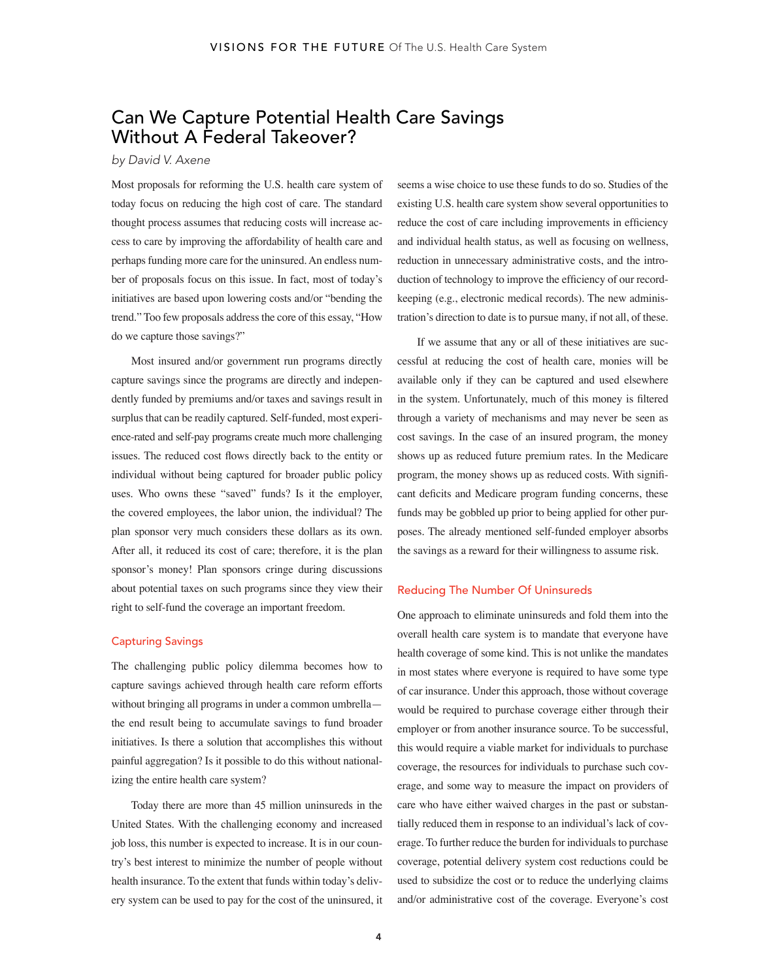# Can We Capture Potential Health Care Savings Without A Federal Takeover?

### *by David V. Axene*

Most proposals for reforming the U.S. health care system of today focus on reducing the high cost of care. The standard thought process assumes that reducing costs will increase access to care by improving the affordability of health care and perhaps funding more care for the uninsured. An endless number of proposals focus on this issue. In fact, most of today's initiatives are based upon lowering costs and/or "bending the trend." Too few proposals address the core of this essay, "How do we capture those savings?"

Most insured and/or government run programs directly capture savings since the programs are directly and independently funded by premiums and/or taxes and savings result in surplus that can be readily captured. Self-funded, most experience-rated and self-pay programs create much more challenging issues. The reduced cost flows directly back to the entity or individual without being captured for broader public policy uses. Who owns these "saved" funds? Is it the employer, the covered employees, the labor union, the individual? The plan sponsor very much considers these dollars as its own. After all, it reduced its cost of care; therefore, it is the plan sponsor's money! Plan sponsors cringe during discussions about potential taxes on such programs since they view their right to self-fund the coverage an important freedom.

## Capturing Savings

The challenging public policy dilemma becomes how to capture savings achieved through health care reform efforts without bringing all programs in under a common umbrella the end result being to accumulate savings to fund broader initiatives. Is there a solution that accomplishes this without painful aggregation? Is it possible to do this without nationalizing the entire health care system?

Today there are more than 45 million uninsureds in the United States. With the challenging economy and increased job loss, this number is expected to increase. It is in our country's best interest to minimize the number of people without health insurance. To the extent that funds within today's delivery system can be used to pay for the cost of the uninsured, it seems a wise choice to use these funds to do so. Studies of the existing U.S. health care system show several opportunities to reduce the cost of care including improvements in efficiency and individual health status, as well as focusing on wellness, reduction in unnecessary administrative costs, and the introduction of technology to improve the efficiency of our recordkeeping (e.g., electronic medical records). The new administration's direction to date is to pursue many, if not all, of these.

If we assume that any or all of these initiatives are successful at reducing the cost of health care, monies will be available only if they can be captured and used elsewhere in the system. Unfortunately, much of this money is filtered through a variety of mechanisms and may never be seen as cost savings. In the case of an insured program, the money shows up as reduced future premium rates. In the Medicare program, the money shows up as reduced costs. With significant deficits and Medicare program funding concerns, these funds may be gobbled up prior to being applied for other purposes. The already mentioned self-funded employer absorbs the savings as a reward for their willingness to assume risk.

#### Reducing The Number Of Uninsureds

One approach to eliminate uninsureds and fold them into the overall health care system is to mandate that everyone have health coverage of some kind. This is not unlike the mandates in most states where everyone is required to have some type of car insurance. Under this approach, those without coverage would be required to purchase coverage either through their employer or from another insurance source. To be successful, this would require a viable market for individuals to purchase coverage, the resources for individuals to purchase such coverage, and some way to measure the impact on providers of care who have either waived charges in the past or substantially reduced them in response to an individual's lack of coverage. To further reduce the burden for individuals to purchase coverage, potential delivery system cost reductions could be used to subsidize the cost or to reduce the underlying claims and/or administrative cost of the coverage. Everyone's cost